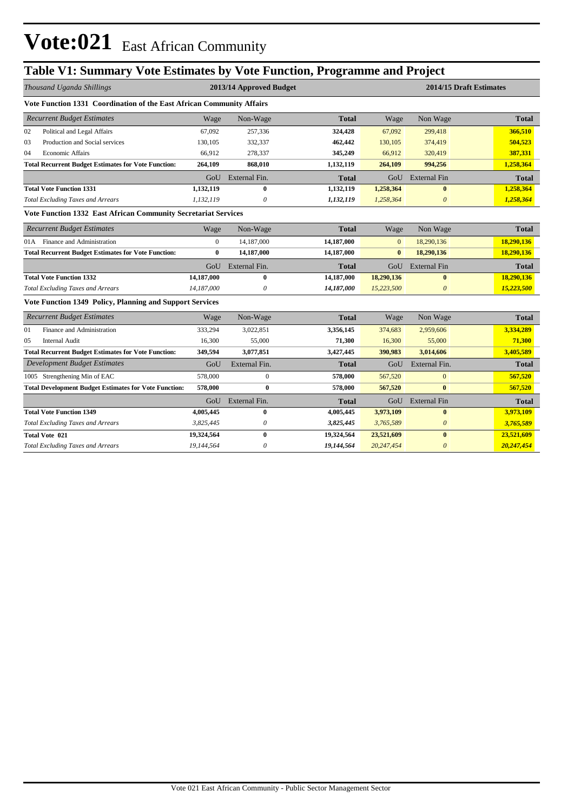## **Table V1: Summary Vote Estimates by Vote Function, Programme and Project**

| Thousand Uganda Shillings                                             |                | 2013/14 Approved Budget |              | 2014/15 Draft Estimates |                       |              |
|-----------------------------------------------------------------------|----------------|-------------------------|--------------|-------------------------|-----------------------|--------------|
| Vote Function 1331 Coordination of the East African Community Affairs |                |                         |              |                         |                       |              |
| <b>Recurrent Budget Estimates</b>                                     | Wage           | Non-Wage                | <b>Total</b> | Wage                    | Non Wage              | <b>Total</b> |
| 02<br>Political and Legal Affairs                                     | 67,092         | 257,336                 | 324,428      | 67,092                  | 299,418               | 366,510      |
| 03<br>Production and Social services                                  | 130.105        | 332,337                 | 462,442      | 130,105                 | 374,419               | 504,523      |
| 04<br><b>Economic Affairs</b>                                         | 66.912         | 278,337                 | 345,249      | 66,912                  | 320,419               | 387,331      |
| <b>Total Recurrent Budget Estimates for Vote Function:</b>            | 264,109        | 868,010                 | 1,132,119    | 264,109                 | 994,256               | 1,258,364    |
|                                                                       | GoU            | External Fin.           | Total        | GoU                     | <b>External Fin</b>   | <b>Total</b> |
| <b>Total Vote Function 1331</b>                                       | 1,132,119      | $\bf{0}$                | 1,132,119    | 1,258,364               | $\bf{0}$              | 1,258,364    |
| <b>Total Excluding Taxes and Arrears</b>                              | 1,132,119      | 0                       | 1,132,119    | 1,258,364               | $\boldsymbol{\theta}$ | 1,258,364    |
| Vote Function 1332 East African Community Secretariat Services        |                |                         |              |                         |                       |              |
| <b>Recurrent Budget Estimates</b>                                     | Wage           | Non-Wage                | <b>Total</b> | Wage                    | Non Wage              | Total        |
| 01A Finance and Administration                                        | $\overline{0}$ | 14,187,000              | 14,187,000   | $\mathbf{0}$            | 18,290,136            | 18,290,136   |
| <b>Total Recurrent Budget Estimates for Vote Function:</b>            | $\bf{0}$       | 14,187,000              | 14,187,000   | $\bf{0}$                | 18,290,136            | 18,290,136   |
|                                                                       | GoU            | External Fin.           | <b>Total</b> | GoU                     | <b>External Fin</b>   | <b>Total</b> |
| <b>Total Vote Function 1332</b>                                       | 14,187,000     | $\bf{0}$                | 14,187,000   | 18,290,136              | $\bf{0}$              | 18,290,136   |
| <b>Total Excluding Taxes and Arrears</b>                              | 14,187,000     | 0                       | 14,187,000   | 15,223,500              | $\boldsymbol{\theta}$ | 15,223,500   |
| Vote Function 1349 Policy, Planning and Support Services              |                |                         |              |                         |                       |              |
| <b>Recurrent Budget Estimates</b>                                     | Wage           | Non-Wage                | <b>Total</b> | Wage                    | Non Wage              | <b>Total</b> |
| Finance and Administration<br>01                                      | 333,294        | 3,022,851               | 3,356,145    | 374,683                 | 2,959,606             | 3,334,289    |
| 05<br><b>Internal Audit</b>                                           | 16,300         | 55,000                  | 71,300       | 16,300                  | 55,000                | 71,300       |
| <b>Total Recurrent Budget Estimates for Vote Function:</b>            | 349,594        | 3,077,851               | 3,427,445    | 390,983                 | 3,014,606             | 3,405,589    |
| <b>Development Budget Estimates</b>                                   | GoU            | External Fin.           | <b>Total</b> | GoU                     | External Fin.         | <b>Total</b> |
| 1005 Strengthening Min of EAC                                         | 578,000        | $\mathbf{0}$            | 578,000      | 567,520                 | $\mathbf{0}$          | 567,520      |
| <b>Total Development Budget Estimates for Vote Function:</b>          | 578,000        | $\bf{0}$                | 578,000      | 567,520                 | $\bf{0}$              | 567,520      |
|                                                                       | GoU            | External Fin.           | <b>Total</b> | GoU                     | <b>External Fin</b>   | <b>Total</b> |
| <b>Total Vote Function 1349</b>                                       | 4,005,445      | $\bf{0}$                | 4,005,445    | 3,973,109               | $\bf{0}$              | 3,973,109    |
| <b>Total Excluding Taxes and Arrears</b>                              | 3,825,445      | $\boldsymbol{\theta}$   | 3,825,445    | 3,765,589               | $\boldsymbol{\theta}$ | 3,765,589    |
| <b>Total Vote 021</b>                                                 | 19,324,564     | $\bf{0}$                | 19,324,564   | 23,521,609              | $\bf{0}$              | 23,521,609   |
| <b>Total Excluding Taxes and Arrears</b>                              | 19,144,564     | 0                       | 19,144,564   | 20,247,454              | $\boldsymbol{\theta}$ | 20,247,454   |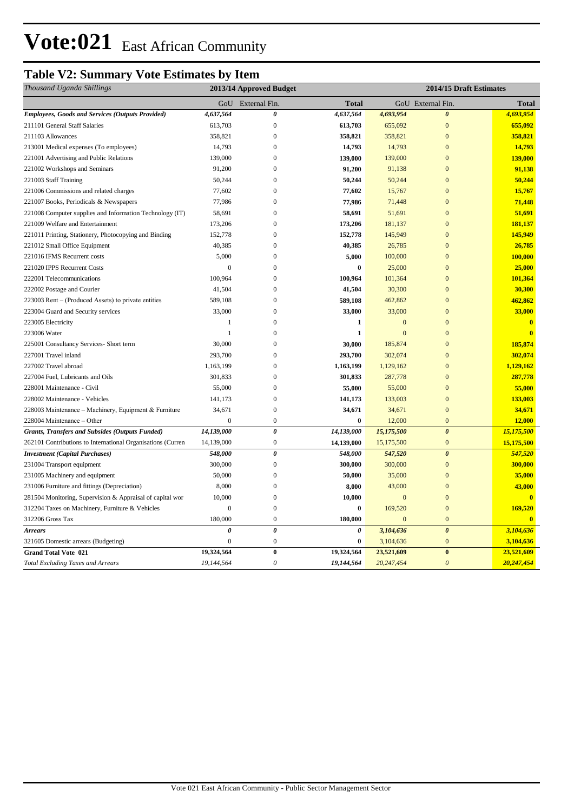## **Table V2: Summary Vote Estimates by Item**

| Thousand Uganda Shillings                                   | 2013/14 Approved Budget<br>2014/15 Draft Estimates |                       |              |                |                       |                         |
|-------------------------------------------------------------|----------------------------------------------------|-----------------------|--------------|----------------|-----------------------|-------------------------|
|                                                             |                                                    | GoU External Fin.     | <b>Total</b> |                | GoU External Fin.     | <b>Total</b>            |
| <b>Employees, Goods and Services (Outputs Provided)</b>     | 4,637,564                                          | $\boldsymbol{\theta}$ | 4,637,564    | 4,693,954      | $\boldsymbol{\theta}$ | 4,693,954               |
| 211101 General Staff Salaries                               | 613,703                                            | $\boldsymbol{0}$      | 613,703      | 655,092        | $\mathbf{0}$          | 655,092                 |
| 211103 Allowances                                           | 358,821                                            | $\mathbf{0}$          | 358,821      | 358,821        | $\Omega$              | 358,821                 |
| 213001 Medical expenses (To employees)                      | 14,793                                             | $\mathbf{0}$          | 14,793       | 14,793         | $\mathbf{0}$          | 14,793                  |
| 221001 Advertising and Public Relations                     | 139,000                                            | $\mathbf{0}$          | 139,000      | 139,000        | $\overline{0}$        | 139,000                 |
| 221002 Workshops and Seminars                               | 91,200                                             | $\mathbf{0}$          | 91,200       | 91,138         | $\Omega$              | 91,138                  |
| 221003 Staff Training                                       | 50,244                                             | $\mathbf{0}$          | 50,244       | 50,244         | $\overline{0}$        | 50,244                  |
| 221006 Commissions and related charges                      | 77,602                                             | $\boldsymbol{0}$      | 77,602       | 15,767         | $\Omega$              | 15,767                  |
| 221007 Books, Periodicals & Newspapers                      | 77,986                                             | $\theta$              | 77,986       | 71,448         | $\overline{0}$        | 71,448                  |
| 221008 Computer supplies and Information Technology (IT)    | 58,691                                             | $\boldsymbol{0}$      | 58,691       | 51,691         | $\overline{0}$        | 51,691                  |
| 221009 Welfare and Entertainment                            | 173,206                                            | $\boldsymbol{0}$      | 173,206      | 181,137        | $\overline{0}$        | 181,137                 |
| 221011 Printing, Stationery, Photocopying and Binding       | 152,778                                            | $\mathbf{0}$          | 152,778      | 145,949        | $\Omega$              | 145,949                 |
| 221012 Small Office Equipment                               | 40,385                                             | $\mathbf{0}$          | 40,385       | 26,785         | $\Omega$              | 26,785                  |
| 221016 IFMS Recurrent costs                                 | 5,000                                              | $\boldsymbol{0}$      | 5,000        | 100,000        | $\overline{0}$        | 100,000                 |
| 221020 IPPS Recurrent Costs                                 | $\overline{0}$                                     | $\mathbf{0}$          | $\bf{0}$     | 25,000         | $\overline{0}$        | 25,000                  |
| 222001 Telecommunications                                   | 100,964                                            | $\boldsymbol{0}$      | 100,964      | 101,364        | $\mathbf{0}$          | 101,364                 |
| 222002 Postage and Courier                                  | 41,504                                             | $\mathbf{0}$          | 41,504       | 30,300         | $\overline{0}$        | 30,300                  |
| 223003 Rent – (Produced Assets) to private entities         | 589,108                                            | $\mathbf{0}$          | 589,108      | 462,862        | $\Omega$              | 462,862                 |
| 223004 Guard and Security services                          | 33,000                                             | $\mathbf{0}$          | 33,000       | 33,000         | $\mathbf{0}$          | 33,000                  |
| 223005 Electricity                                          | -1                                                 | $\mathbf{0}$          | 1            | $\mathbf{0}$   | $\Omega$              | $\overline{\mathbf{0}}$ |
| 223006 Water                                                | -1                                                 | $\overline{0}$        | $\mathbf{1}$ | $\overline{0}$ | $\Omega$              | $\mathbf{0}$            |
| 225001 Consultancy Services- Short term                     | 30,000                                             | $\mathbf{0}$          | 30,000       | 185,874        | $\boldsymbol{0}$      | 185,874                 |
| 227001 Travel inland                                        | 293,700                                            | $\mathbf{0}$          | 293,700      | 302,074        | $\overline{0}$        | 302,074                 |
| 227002 Travel abroad                                        | 1,163,199                                          | $\boldsymbol{0}$      | 1,163,199    | 1,129,162      | $\Omega$              | 1,129,162               |
| 227004 Fuel, Lubricants and Oils                            | 301,833                                            | $\overline{0}$        | 301,833      | 287,778        | $\mathbf{0}$          | 287,778                 |
| 228001 Maintenance - Civil                                  | 55,000                                             | $\mathbf{0}$          | 55,000       | 55,000         | $\overline{0}$        | 55,000                  |
| 228002 Maintenance - Vehicles                               | 141,173                                            | $\mathbf{0}$          | 141,173      | 133,003        | $\overline{0}$        | 133,003                 |
| 228003 Maintenance - Machinery, Equipment & Furniture       | 34,671                                             | $\boldsymbol{0}$      | 34,671       | 34,671         | $\overline{0}$        | 34,671                  |
| 228004 Maintenance - Other                                  | $\overline{0}$                                     | $\mathbf{0}$          | $\bf{0}$     | 12,000         | $\mathbf{0}$          | 12,000                  |
| <b>Grants, Transfers and Subsides (Outputs Funded)</b>      | 14,139,000                                         | $\pmb{\theta}$        | 14,139,000   | 15,175,500     | $\boldsymbol{\theta}$ | 15,175,500              |
| 262101 Contributions to International Organisations (Curren | 14,139,000                                         | $\mathbf{0}$          | 14,139,000   | 15,175,500     | $\mathbf{0}$          | 15,175,500              |
| <b>Investment</b> (Capital Purchases)                       | 548,000                                            | $\boldsymbol{\theta}$ | 548,000      | 547,520        | $\boldsymbol{\theta}$ | 547,520                 |
| 231004 Transport equipment                                  | 300,000                                            | $\overline{0}$        | 300,000      | 300,000        | $\overline{0}$        | 300,000                 |
| 231005 Machinery and equipment                              | 50,000                                             | $\boldsymbol{0}$      | 50,000       | 35,000         | $\mathbf{0}$          | 35,000                  |
| 231006 Furniture and fittings (Depreciation)                | 8,000                                              | $\mathbf{0}$          | 8,000        | 43,000         | $\overline{0}$        | 43,000                  |
| 281504 Monitoring, Supervision & Appraisal of capital wor   | 10,000                                             | $\mathbf{0}$          | 10,000       | $\mathbf{0}$   | $\overline{0}$        | $\overline{0}$          |
| 312204 Taxes on Machinery, Furniture & Vehicles             | $\overline{0}$                                     | $\overline{0}$        | $\bf{0}$     | 169,520        | $\overline{0}$        | 169,520                 |
| 312206 Gross Tax                                            | 180,000                                            | $\boldsymbol{0}$      | 180,000      | $\mathbf{0}$   | $\mathbf{0}$          | $\overline{\mathbf{0}}$ |
| <b>Arrears</b>                                              | $\theta$                                           | $\boldsymbol{\theta}$ | 0            | 3,104,636      | $\boldsymbol{\theta}$ | 3,104,636               |
| 321605 Domestic arrears (Budgeting)                         | $\overline{0}$                                     | $\boldsymbol{0}$      | $\bf{0}$     | 3,104,636      | $\mathbf{0}$          | 3,104,636               |
| <b>Grand Total Vote 021</b>                                 | 19,324,564                                         | $\pmb{0}$             | 19,324,564   | 23,521,609     | $\bf{0}$              | 23,521,609              |
| <b>Total Excluding Taxes and Arrears</b>                    | 19,144,564                                         | $\theta$              | 19,144,564   | 20,247,454     | $\boldsymbol{\theta}$ | 20,247,454              |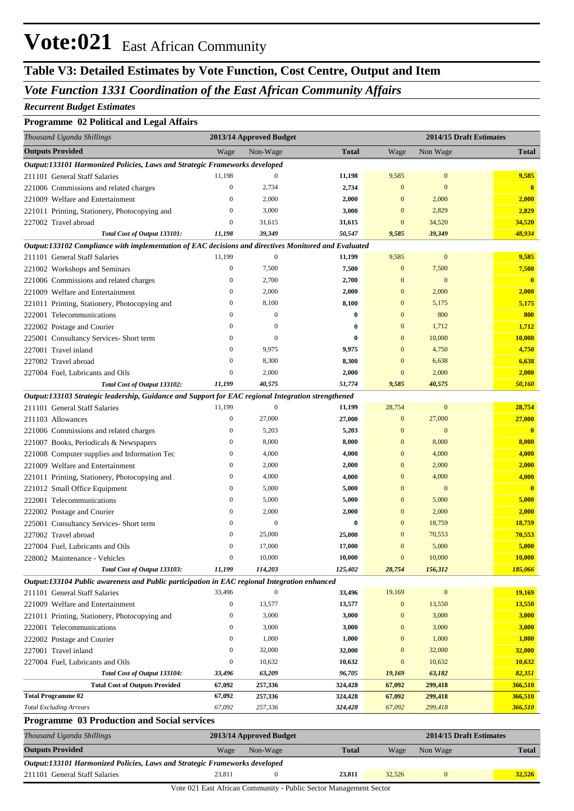## **Table V3: Detailed Estimates by Vote Function, Cost Centre, Output and Item**

### *Vote Function 1331 Coordination of the East African Community Affairs*

#### *Recurrent Budget Estimates*

#### **Programme 02 Political and Legal Affairs**

| Thousand Uganda Shillings                                                                                                     |                              | 2013/14 Approved Budget |              |                          |                  | 2014/15 Draft Estimates |
|-------------------------------------------------------------------------------------------------------------------------------|------------------------------|-------------------------|--------------|--------------------------|------------------|-------------------------|
| <b>Outputs Provided</b>                                                                                                       | Wage                         | Non-Wage                | <b>Total</b> | Wage                     | Non Wage         | <b>Total</b>            |
| Output:133101 Harmonized Policies, Laws and Strategic Frameworks developed                                                    |                              |                         |              |                          |                  |                         |
| 211101 General Staff Salaries                                                                                                 | 11,198                       | $\mathbf{0}$            | 11,198       | 9,585                    | $\mathbf{0}$     | 9,585                   |
| 221006 Commissions and related charges                                                                                        | $\mathbf{0}$                 | 2,734                   | 2,734        | $\mathbf{0}$             | $\mathbf{0}$     | $\overline{\mathbf{0}}$ |
| 221009 Welfare and Entertainment                                                                                              | $\mathbf{0}$                 | 2,000                   | 2,000        | $\mathbf{0}$             | 2,000            | 2,000                   |
| 221011 Printing, Stationery, Photocopying and                                                                                 | $\boldsymbol{0}$             | 3,000                   | 3,000        | $\bf{0}$                 | 2,829            | 2,829                   |
| 227002 Travel abroad                                                                                                          | $\boldsymbol{0}$             | 31,615                  | 31,615       | $\mathbf{0}$             | 34,520           | 34,520                  |
| Total Cost of Output 133101:                                                                                                  | 11,198                       | 39,349                  | 50,547       | 9,585                    | 39,349           | 48,934                  |
| Output:133102 Compliance with implementation of EAC decisions and directives Monitored and Evaluated                          |                              |                         |              |                          |                  |                         |
| 211101 General Staff Salaries                                                                                                 | 11,199                       | $\mathbf{0}$            | 11,199       | 9,585                    | $\mathbf{0}$     | 9,585                   |
| 221002 Workshops and Seminars                                                                                                 | $\boldsymbol{0}$             | 7,500                   | 7,500        | $\boldsymbol{0}$         | 7,500            | 7,500                   |
| 221006 Commissions and related charges                                                                                        | $\boldsymbol{0}$             | 2,700                   | 2,700        | $\mathbf{0}$             | $\mathbf{0}$     | $\overline{\mathbf{0}}$ |
| 221009 Welfare and Entertainment                                                                                              | $\mathbf{0}$                 | 2,000                   | 2,000        | $\bf{0}$                 | 2,000            | 2,000                   |
| 221011 Printing, Stationery, Photocopying and                                                                                 | $\mathbf{0}$                 | 8,100                   | 8,100        | $\bf{0}$                 | 5,175            | 5,175                   |
| 222001 Telecommunications                                                                                                     | $\mathbf{0}$                 | $\mathbf{0}$            | $\bf{0}$     | $\mathbf{0}$             | 800              | 800                     |
| 222002 Postage and Courier                                                                                                    | $\mathbf{0}$                 | $\mathbf{0}$            | $\bf{0}$     | $\mathbf{0}$             | 1,712            | 1,712                   |
| 225001 Consultancy Services- Short term                                                                                       | $\mathbf{0}$                 | $\mathbf{0}$            | $\bf{0}$     | $\bf{0}$                 | 10,000           | 10,000                  |
| 227001 Travel inland                                                                                                          | $\mathbf{0}$                 | 9,975                   | 9,975        | $\mathbf{0}$             | 4,750            | 4,750                   |
| 227002 Travel abroad                                                                                                          | $\boldsymbol{0}$             | 8,300                   | 8,300        | $\mathbf{0}$             | 6,638            | 6,638                   |
| 227004 Fuel, Lubricants and Oils                                                                                              | $\boldsymbol{0}$             | 2,000                   | 2,000        | $\mathbf{0}$             | 2,000            | 2,000                   |
| Total Cost of Output 133102:                                                                                                  | 11,199                       | 40,575                  | 51,774       | 9,585                    | 40,575           | 50,160                  |
| Output:133103 Strategic leadership, Guidance and Support for EAC regional Integration strengthened                            |                              |                         |              |                          |                  |                         |
| 211101 General Staff Salaries                                                                                                 | 11,199                       | $\boldsymbol{0}$        | 11,199       | 28,754                   | $\bf{0}$         | 28,754                  |
| 211103 Allowances                                                                                                             | $\mathbf{0}$                 | 27,000                  | 27,000       | $\bf{0}$                 | 27,000           | 27,000                  |
| 221006 Commissions and related charges                                                                                        | $\boldsymbol{0}$             | 5,203                   | 5,203        | $\bf{0}$                 | $\mathbf{0}$     | $\overline{\mathbf{0}}$ |
| 221007 Books, Periodicals & Newspapers                                                                                        | $\boldsymbol{0}$             | 8,000                   | 8,000        | $\bf{0}$                 | 8,000            | 8,000                   |
| 221008 Computer supplies and Information Tec                                                                                  | $\boldsymbol{0}$             | 4,000                   | 4,000        | $\bf{0}$                 | 4,000            | 4,000                   |
| 221009 Welfare and Entertainment                                                                                              | $\mathbf{0}$                 | 2,000                   | 2,000        | $\bf{0}$                 | 2,000            | 2,000                   |
| 221011 Printing, Stationery, Photocopying and                                                                                 | $\boldsymbol{0}$             | 4,000                   | 4,000        | $\mathbf{0}$             | 4,000            | 4,000                   |
| 221012 Small Office Equipment                                                                                                 | $\boldsymbol{0}$             | 5,000                   | 5,000        | $\mathbf{0}$             | $\mathbf{0}$     | $\overline{\mathbf{0}}$ |
| 222001 Telecommunications                                                                                                     | $\boldsymbol{0}$             | 5,000                   | 5,000        | $\bf{0}$                 | 5,000            | 5,000                   |
| 222002 Postage and Courier                                                                                                    | $\mathbf{0}$                 | 2,000                   | 2,000        | $\bf{0}$                 | 2,000            | 2,000                   |
| 225001 Consultancy Services- Short term                                                                                       | $\mathbf{0}$                 | $\mathbf{0}$            | $\bf{0}$     | $\bf{0}$                 | 18,759           | 18,759                  |
| 227002 Travel abroad                                                                                                          | $\mathbf{0}$<br>$\mathbf{0}$ | 25,000                  | 25,000       | $\bf{0}$                 | 70,553           | 70,553<br>5,000         |
| 227004 Fuel, Lubricants and Oils                                                                                              | $\Omega$                     | 17,000                  | 17,000       | $\bf{0}$<br>$\mathbf{0}$ | 5,000<br>10,000  | 10,000                  |
| 228002 Maintenance - Vehicles                                                                                                 | 11,199                       | 10,000                  | 10,000       |                          |                  |                         |
| Total Cost of Output 133103:                                                                                                  |                              | 114,203                 | 125,402      | 28,754                   | 156,312          | 185,066                 |
| Output:133104 Public awareness and Public participation in EAC regional Integration enhanced<br>211101 General Staff Salaries | 33,496                       | $\mathbf{0}$            | 33,496       | 19,169                   | $\boldsymbol{0}$ | 19,169                  |
| 221009 Welfare and Entertainment                                                                                              | $\boldsymbol{0}$             | 13,577                  | 13,577       | $\bf{0}$                 | 13,550           | 13,550                  |
| 221011 Printing, Stationery, Photocopying and                                                                                 | $\boldsymbol{0}$             | 3,000                   | 3,000        | $\boldsymbol{0}$         | 3,000            | 3,000                   |
| 222001 Telecommunications                                                                                                     | $\mathbf{0}$                 | 3,000                   | 3,000        | $\bf{0}$                 | 3,000            | 3,000                   |
| 222002 Postage and Courier                                                                                                    | $\mathbf{0}$                 | 1,000                   | 1,000        | $\bf{0}$                 | 1,000            | 1,000                   |
| 227001 Travel inland                                                                                                          | $\bf{0}$                     | 32,000                  | 32,000       | $\bf{0}$                 | 32,000           | 32,000                  |
| 227004 Fuel, Lubricants and Oils                                                                                              | $\boldsymbol{0}$             | 10,632                  | 10,632       | $\boldsymbol{0}$         | 10,632           | 10,632                  |
| Total Cost of Output 133104:                                                                                                  | 33,496                       | 63,209                  | 96,705       | 19,169                   | 63,182           | 82,351                  |
| <b>Total Cost of Outputs Provided</b>                                                                                         | 67,092                       | 257,336                 | 324,428      | 67,092                   | 299,418          | 366,510                 |
| <b>Total Programme 02</b>                                                                                                     | 67,092                       | 257,336                 | 324,428      | 67,092                   | 299,418          | 366,510                 |
| <b>Total Excluding Arrears</b>                                                                                                | 67,092                       | 257,336                 | 324,428      | 67,092                   | 299,418          | 366,510                 |
| <b>Programme 03 Production and Social services</b>                                                                            |                              |                         |              |                          |                  |                         |
| Thousand Uganda Shillings                                                                                                     |                              | 2013/14 Approved Budget |              |                          |                  | 2014/15 Draft Estimates |
|                                                                                                                               |                              |                         |              |                          |                  |                         |

| Thousana Oganaa Shuungs                                                    | $201J/1$ T Apployed Duuget<br>$2014/13$ Dealer estimates |          |              |        |          |        |
|----------------------------------------------------------------------------|----------------------------------------------------------|----------|--------------|--------|----------|--------|
| <b>Outputs Provided</b>                                                    | Wage                                                     | Non-Wage | <b>Total</b> | Wage   | Non Wage | Total  |
| Output:133101 Harmonized Policies, Laws and Strategic Frameworks developed |                                                          |          |              |        |          |        |
| 211101 General Staff Salaries                                              | 23.811                                                   |          | 23.811       | 32,526 |          | 32.526 |

Vote 021 East African Community - Public Sector Management Sector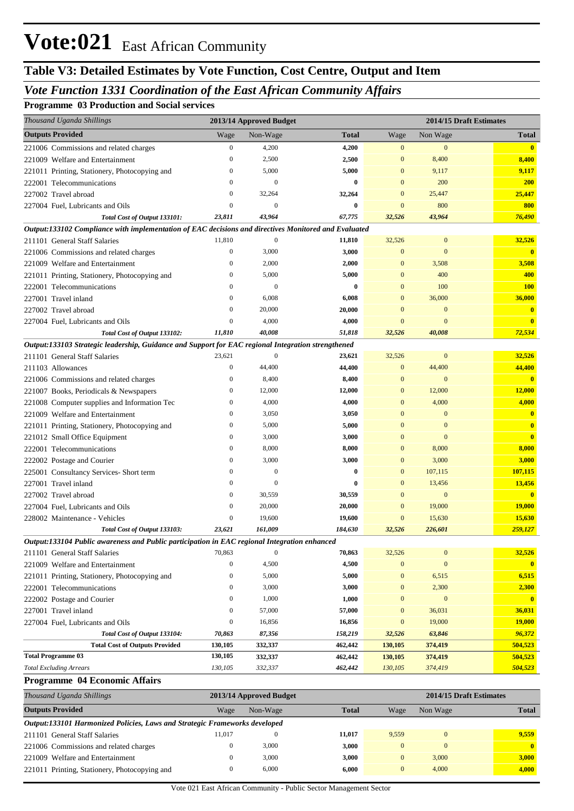## **Table V3: Detailed Estimates by Vote Function, Cost Centre, Output and Item**

### *Vote Function 1331 Coordination of the East African Community Affairs*

#### **Programme 03 Production and Social services**

| Thousand Uganda Shillings                                                                            |                  | 2013/14 Approved Budget |              |                  |                  | 2014/15 Draft Estimates |
|------------------------------------------------------------------------------------------------------|------------------|-------------------------|--------------|------------------|------------------|-------------------------|
| <b>Outputs Provided</b>                                                                              | Wage             | Non-Wage                | <b>Total</b> | Wage             | Non Wage         | <b>Total</b>            |
| 221006 Commissions and related charges                                                               | $\boldsymbol{0}$ | 4,200                   | 4,200        | $\mathbf{0}$     | $\mathbf{0}$     | $\overline{\mathbf{0}}$ |
| 221009 Welfare and Entertainment                                                                     | $\mathbf{0}$     | 2,500                   | 2,500        | $\mathbf{0}$     | 8,400            | 8,400                   |
| 221011 Printing, Stationery, Photocopying and                                                        | $\mathbf{0}$     | 5,000                   | 5,000        | $\mathbf{0}$     | 9,117            | 9,117                   |
| 222001 Telecommunications                                                                            | $\mathbf{0}$     | $\mathbf{0}$            | $\bf{0}$     | $\mathbf{0}$     | 200              | <b>200</b>              |
| 227002 Travel abroad                                                                                 | $\mathbf{0}$     | 32,264                  | 32,264       | $\mathbf{0}$     | 25,447           | 25,447                  |
| 227004 Fuel, Lubricants and Oils                                                                     | $\overline{0}$   | $\mathbf{0}$            | $\bf{0}$     | $\mathbf{0}$     | 800              | 800                     |
| Total Cost of Output 133101:                                                                         | 23,811           | 43,964                  | 67,775       | 32,526           | 43,964           | 76,490                  |
| Output:133102 Compliance with implementation of EAC decisions and directives Monitored and Evaluated |                  |                         |              |                  |                  |                         |
| 211101 General Staff Salaries                                                                        | 11,810           | $\mathbf{0}$            | 11,810       | 32,526           | $\boldsymbol{0}$ | 32,526                  |
| 221006 Commissions and related charges                                                               | $\boldsymbol{0}$ | 3,000                   | 3,000        | $\mathbf{0}$     | $\mathbf{0}$     | $\bf{0}$                |
| 221009 Welfare and Entertainment                                                                     | $\boldsymbol{0}$ | 2,000                   | 2,000        | $\mathbf{0}$     | 3,508            | 3,508                   |
| 221011 Printing, Stationery, Photocopying and                                                        | $\mathbf{0}$     | 5,000                   | 5,000        | $\mathbf{0}$     | 400              | 400                     |
| 222001 Telecommunications                                                                            | $\mathbf{0}$     | $\mathbf{0}$            | $\bf{0}$     | $\mathbf{0}$     | 100              | <b>100</b>              |
| 227001 Travel inland                                                                                 | $\mathbf{0}$     | 6,008                   | 6,008        | $\mathbf{0}$     | 36,000           | 36,000                  |
| 227002 Travel abroad                                                                                 | $\mathbf{0}$     | 20,000                  | 20,000       | $\mathbf{0}$     | $\mathbf{0}$     | $\mathbf{0}$            |
| 227004 Fuel, Lubricants and Oils                                                                     | $\mathbf{0}$     | 4,000                   | 4,000        | $\mathbf{0}$     | $\mathbf{0}$     | $\mathbf{0}$            |
| Total Cost of Output 133102:                                                                         | 11,810           | 40,008                  | 51,818       | 32,526           | 40,008           | 72,534                  |
| Output:133103 Strategic leadership, Guidance and Support for EAC regional Integration strengthened   |                  |                         |              |                  |                  |                         |
| 211101 General Staff Salaries                                                                        | 23,621           | $\mathbf{0}$            | 23,621       | 32,526           | $\mathbf{0}$     | 32,526                  |
| 211103 Allowances                                                                                    | $\mathbf{0}$     | 44,400                  | 44,400       | $\mathbf{0}$     | 44,400           | 44,400                  |
| 221006 Commissions and related charges                                                               | $\boldsymbol{0}$ | 8,400                   | 8,400        | $\mathbf{0}$     | $\mathbf{0}$     | $\mathbf{0}$            |
| 221007 Books, Periodicals & Newspapers                                                               | $\boldsymbol{0}$ | 12,000                  | 12,000       | $\mathbf{0}$     | 12,000           | 12,000                  |
| 221008 Computer supplies and Information Tec                                                         | $\boldsymbol{0}$ | 4,000                   | 4,000        | $\mathbf{0}$     | 4,000            | 4,000                   |
| 221009 Welfare and Entertainment                                                                     | $\mathbf{0}$     | 3,050                   | 3,050        | $\mathbf{0}$     | $\mathbf{0}$     | $\bf{0}$                |
| 221011 Printing, Stationery, Photocopying and                                                        | $\boldsymbol{0}$ | 5,000                   | 5,000        | $\mathbf{0}$     | $\mathbf{0}$     | $\mathbf{0}$            |
| 221012 Small Office Equipment                                                                        | $\boldsymbol{0}$ | 3,000                   | 3,000        | $\mathbf{0}$     | $\mathbf{0}$     | $\mathbf{0}$            |
| 222001 Telecommunications                                                                            | $\mathbf{0}$     | 8,000                   | 8,000        | $\mathbf{0}$     | 8,000            | 8,000                   |
| 222002 Postage and Courier                                                                           | $\mathbf{0}$     | 3,000                   | 3,000        | $\mathbf{0}$     | 3,000            | 3,000                   |
| 225001 Consultancy Services- Short term                                                              | $\mathbf{0}$     | $\mathbf{0}$            | $\bf{0}$     | $\mathbf{0}$     | 107,115          | 107,115                 |
| 227001 Travel inland                                                                                 | $\mathbf{0}$     | $\theta$                | $\bf{0}$     | $\mathbf{0}$     | 13,456           | 13,456                  |
| 227002 Travel abroad                                                                                 | $\mathbf{0}$     | 30,559                  | 30,559       | $\mathbf{0}$     | $\boldsymbol{0}$ | $\mathbf{0}$            |
| 227004 Fuel, Lubricants and Oils                                                                     | $\overline{0}$   | 20,000                  | 20,000       | $\mathbf{0}$     | 19,000           | <b>19,000</b>           |
| 228002 Maintenance - Vehicles                                                                        | $\mathbf{0}$     | 19,600                  | 19,600       | $\mathbf{0}$     | 15,630           | 15,630                  |
| Total Cost of Output 133103:                                                                         | 23,621           | 161,009                 | 184,630      | 32,526           | 226,601          | 259,127                 |
| Output:133104 Public awareness and Public participation in EAC regional Integration enhanced         |                  |                         |              |                  |                  |                         |
| 211101 General Staff Salaries                                                                        | 70,863           | $\boldsymbol{0}$        | 70,863       | 32,526           | $\bf{0}$         | 32,526                  |
| 221009 Welfare and Entertainment                                                                     | $\boldsymbol{0}$ | 4,500                   | 4,500        | $\mathbf{0}$     | $\mathbf{0}$     | $\mathbf{0}$            |
| 221011 Printing, Stationery, Photocopying and                                                        | $\boldsymbol{0}$ | 5,000                   | 5,000        | $\boldsymbol{0}$ | 6,515            | 6,515                   |
| 222001 Telecommunications                                                                            | $\boldsymbol{0}$ | 3,000                   | 3,000        | $\boldsymbol{0}$ | 2,300            | 2,300                   |
| 222002 Postage and Courier                                                                           | $\boldsymbol{0}$ | 1,000                   | 1,000        | $\mathbf{0}$     | $\bf{0}$         | $\mathbf{0}$            |
| 227001 Travel inland                                                                                 | $\boldsymbol{0}$ | 57,000                  | 57,000       | $\boldsymbol{0}$ | 36,031           | 36,031                  |
| 227004 Fuel, Lubricants and Oils                                                                     | $\boldsymbol{0}$ | 16,856                  | 16,856       | $\mathbf{0}$     | 19,000           | <b>19,000</b>           |
| Total Cost of Output 133104:                                                                         | 70,863           | 87,356                  | 158,219      | 32,526           | 63,846           | 96,372                  |
| <b>Total Cost of Outputs Provided</b>                                                                | 130,105          | 332,337                 | 462,442      | 130,105          | 374,419          | 504,523                 |
| <b>Total Programme 03</b>                                                                            | 130,105          | 332,337                 | 462,442      | 130,105          | 374,419          | 504,523                 |
| <b>Total Excluding Arrears</b>                                                                       | 130, 105         | 332,337                 | 462,442      | 130,105          | 374,419          | 504,523                 |

#### **Programme 04 Economic Affairs**

| Thousand Uganda Shillings                                                  |              | 2013/14 Approved Budget |              | 2014/15 Draft Estimates |          |              |  |  |  |
|----------------------------------------------------------------------------|--------------|-------------------------|--------------|-------------------------|----------|--------------|--|--|--|
| <b>Outputs Provided</b>                                                    | Wage         | Non-Wage                | <b>Total</b> | Wage                    | Non Wage | <b>Total</b> |  |  |  |
| Output:133101 Harmonized Policies, Laws and Strategic Frameworks developed |              |                         |              |                         |          |              |  |  |  |
| 211101 General Staff Salaries                                              | 11.017       | $\theta$                | 11.017       | 9,559                   | $\Omega$ | 9.559        |  |  |  |
| 221006 Commissions and related charges                                     | $\mathbf{0}$ | 3,000                   | 3.000        | $\Omega$                | $\Omega$ | $\mathbf{0}$ |  |  |  |
| 221009 Welfare and Entertainment                                           | $\mathbf{0}$ | 3,000                   | 3.000        |                         | 3,000    | 3,000        |  |  |  |
| 221011 Printing, Stationery, Photocopying and                              | $\mathbf{0}$ | 6.000                   | 6.000        |                         | 4.000    | 4,000        |  |  |  |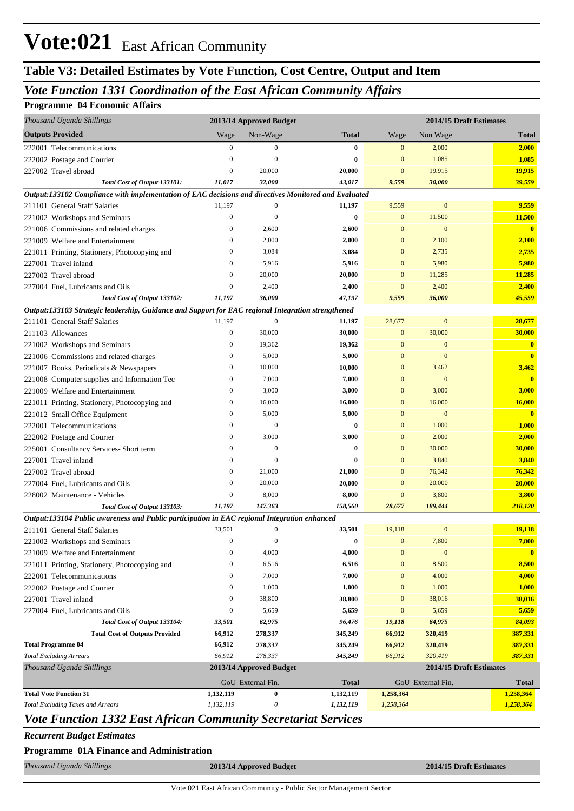## **Table V3: Detailed Estimates by Vote Function, Cost Centre, Output and Item**

### *Vote Function 1331 Coordination of the East African Community Affairs*

#### **Programme 04 Economic Affairs**

| Thousand Uganda Shillings                                                                            |                  | 2013/14 Approved Budget |              |              | 2014/15 Draft Estimates |                         |
|------------------------------------------------------------------------------------------------------|------------------|-------------------------|--------------|--------------|-------------------------|-------------------------|
| <b>Outputs Provided</b>                                                                              | Wage             | Non-Wage                | <b>Total</b> | Wage         | Non Wage                | Total                   |
| 222001 Telecommunications                                                                            | $\boldsymbol{0}$ | $\bf{0}$                | $\bf{0}$     | $\mathbf{0}$ | 2,000                   | 2,000                   |
| 222002 Postage and Courier                                                                           | $\boldsymbol{0}$ | $\overline{0}$          | $\bf{0}$     | $\bf{0}$     | 1,085                   | 1,085                   |
| 227002 Travel abroad                                                                                 | $\boldsymbol{0}$ | 20,000                  | 20,000       | $\bf{0}$     | 19,915                  | 19,915                  |
| Total Cost of Output 133101:                                                                         | 11,017           | 32,000                  | 43,017       | 9,559        | 30,000                  | 39,559                  |
| Output:133102 Compliance with implementation of EAC decisions and directives Monitored and Evaluated |                  |                         |              |              |                         |                         |
| 211101 General Staff Salaries                                                                        | 11,197           | $\mathbf{0}$            | 11,197       | 9,559        | $\boldsymbol{0}$        | 9,559                   |
| 221002 Workshops and Seminars                                                                        | $\mathbf{0}$     | $\overline{0}$          | $\bf{0}$     | $\bf{0}$     | 11,500                  | 11,500                  |
| 221006 Commissions and related charges                                                               | $\bf{0}$         | 2,600                   | 2,600        | $\mathbf{0}$ | $\mathbf{0}$            | $\overline{\mathbf{0}}$ |
| 221009 Welfare and Entertainment                                                                     | $\mathbf{0}$     | 2,000                   | 2,000        | $\mathbf{0}$ | 2,100                   | 2,100                   |
| 221011 Printing, Stationery, Photocopying and                                                        | $\mathbf{0}$     | 3,084                   | 3,084        | $\mathbf{0}$ | 2,735                   | 2,735                   |
| 227001 Travel inland                                                                                 | $\mathbf{0}$     | 5,916                   | 5,916        | $\mathbf{0}$ | 5,980                   | 5,980                   |
| 227002 Travel abroad                                                                                 | $\bf{0}$         | 20,000                  | 20,000       | $\mathbf{0}$ | 11,285                  | 11,285                  |
| 227004 Fuel, Lubricants and Oils                                                                     | $\mathbf{0}$     | 2,400                   | 2,400        | $\mathbf{0}$ | 2,400                   | 2,400                   |
| Total Cost of Output 133102:                                                                         | 11,197           | 36,000                  | 47,197       | 9,559        | 36,000                  | 45,559                  |
| Output:133103 Strategic leadership, Guidance and Support for EAC regional Integration strengthened   |                  |                         |              |              |                         |                         |
| 211101 General Staff Salaries                                                                        | 11,197           | $\mathbf{0}$            | 11,197       | 28,677       | $\boldsymbol{0}$        | 28,677                  |
| 211103 Allowances                                                                                    | $\boldsymbol{0}$ | 30,000                  | 30,000       | $\bf{0}$     | 30,000                  | 30,000                  |
| 221002 Workshops and Seminars                                                                        | $\bf{0}$         | 19,362                  | 19,362       | $\mathbf{0}$ | $\mathbf{0}$            | $\mathbf{0}$            |
| 221006 Commissions and related charges                                                               | $\bf{0}$         | 5,000                   | 5,000        | $\mathbf{0}$ | $\mathbf{0}$            | $\overline{\mathbf{0}}$ |
| 221007 Books, Periodicals & Newspapers                                                               | $\bf{0}$         | 10,000                  | 10,000       | $\mathbf{0}$ | 3,462                   | 3,462                   |
| 221008 Computer supplies and Information Tec                                                         | $\bf{0}$         | 7,000                   | 7,000        | $\mathbf{0}$ | $\mathbf{0}$            | $\overline{\mathbf{0}}$ |
| 221009 Welfare and Entertainment                                                                     | $\bf{0}$         | 3,000                   | 3,000        | $\mathbf{0}$ | 3,000                   | 3,000                   |
| 221011 Printing, Stationery, Photocopying and                                                        | $\bf{0}$         | 16,000                  | 16,000       | $\mathbf{0}$ | 16,000                  | 16,000                  |
| 221012 Small Office Equipment                                                                        | $\bf{0}$         | 5,000                   | 5,000        | $\mathbf{0}$ | $\mathbf{0}$            | $\overline{\mathbf{0}}$ |
| 222001 Telecommunications                                                                            | $\mathbf{0}$     | $\mathbf{0}$            | 0            | $\mathbf{0}$ | 1,000                   | 1,000                   |
| 222002 Postage and Courier                                                                           | $\bf{0}$         | 3,000                   | 3,000        | $\mathbf{0}$ | 2,000                   | 2,000                   |
| 225001 Consultancy Services- Short term                                                              | $\mathbf{0}$     | $\mathbf{0}$            | 0            | $\mathbf{0}$ | 30,000                  | 30,000                  |
| 227001 Travel inland                                                                                 | $\mathbf{0}$     | $\theta$                | $\bf{0}$     | $\mathbf{0}$ | 3,840                   | 3,840                   |
| 227002 Travel abroad                                                                                 | $\mathbf{0}$     | 21,000                  | 21,000       | $\mathbf{0}$ | 76,342                  | 76,342                  |
| 227004 Fuel, Lubricants and Oils                                                                     | $\bf{0}$         | 20,000                  | 20,000       | $\mathbf{0}$ | 20,000                  | 20,000                  |
| 228002 Maintenance - Vehicles                                                                        | $\boldsymbol{0}$ | 8,000                   | 8,000        | $\mathbf{0}$ | 3,800                   | 3,800                   |
| Total Cost of Output 133103:                                                                         | 11,197           | 147,363                 | 158,560      | 28,677       | 189,444                 | 218,120                 |
| Output:133104 Public awareness and Public participation in EAC regional Integration enhanced         |                  |                         |              |              |                         |                         |
| 211101 General Staff Salaries                                                                        | 33,501           | $\mathbf{0}$            | 33,501       | 19,118       | $\mathbf{0}$            | 19,118                  |
| 221002 Workshops and Seminars                                                                        | $\bf{0}$         | $\bf{0}$                | $\bf{0}$     | $\mathbf{0}$ | 7,800                   | 7,800                   |
| 221009 Welfare and Entertainment                                                                     | $\bf{0}$         | 4,000                   | 4,000        | $\bf{0}$     | $\boldsymbol{0}$        | $\overline{\mathbf{0}}$ |
| 221011 Printing, Stationery, Photocopying and                                                        | 0                | 6,516                   | 6,516        | $\mathbf{0}$ | 8,500                   | 8,500                   |
| 222001 Telecommunications                                                                            | 0                | 7,000                   | 7,000        | $\mathbf{0}$ | 4,000                   | 4,000                   |
| 222002 Postage and Courier                                                                           | $\mathbf{0}$     | 1,000                   | 1,000        | $\mathbf{0}$ | 1,000                   | 1,000                   |
| 227001 Travel inland                                                                                 | 0                | 38,800                  | 38,800       | $\mathbf{0}$ | 38,016                  | 38,016                  |
| 227004 Fuel, Lubricants and Oils                                                                     | $\bf{0}$         | 5,659                   | 5,659        | $\bf{0}$     | 5,659                   | 5,659                   |
| Total Cost of Output 133104:                                                                         | 33,501           | 62,975                  | 96,476       | 19,118       | 64,975                  | 84,093                  |
| <b>Total Cost of Outputs Provided</b>                                                                | 66,912           | 278,337                 | 345,249      | 66,912       | 320,419                 | 387,331                 |
| <b>Total Programme 04</b>                                                                            | 66,912           | 278,337                 | 345,249      | 66,912       | 320,419                 | 387,331                 |
| <b>Total Excluding Arrears</b>                                                                       | 66,912           | 278,337                 | 345,249      | 66,912       | 320,419                 | 387,331                 |
| Thousand Uganda Shillings                                                                            |                  | 2013/14 Approved Budget |              |              | 2014/15 Draft Estimates |                         |
|                                                                                                      |                  | GoU External Fin.       | <b>Total</b> |              | GoU External Fin.       | <b>Total</b>            |
| <b>Total Vote Function 31</b>                                                                        | 1,132,119        | $\bf{0}$                | 1,132,119    | 1,258,364    |                         | 1,258,364               |
| <b>Total Excluding Taxes and Arrears</b>                                                             | 1,132,119        | $\boldsymbol{\theta}$   | 1,132,119    | 1,258,364    |                         | 1,258,364               |

#### *Vote Function 1332 East African Community Secretariat Services*

#### *Recurrent Budget Estimates*

|  |  |  |  | Programme 01A Finance and Administration |  |
|--|--|--|--|------------------------------------------|--|
|--|--|--|--|------------------------------------------|--|

*Thousand Uganda Shillings* **2013/14 Approved Budget 2014/15 Draft Estimates**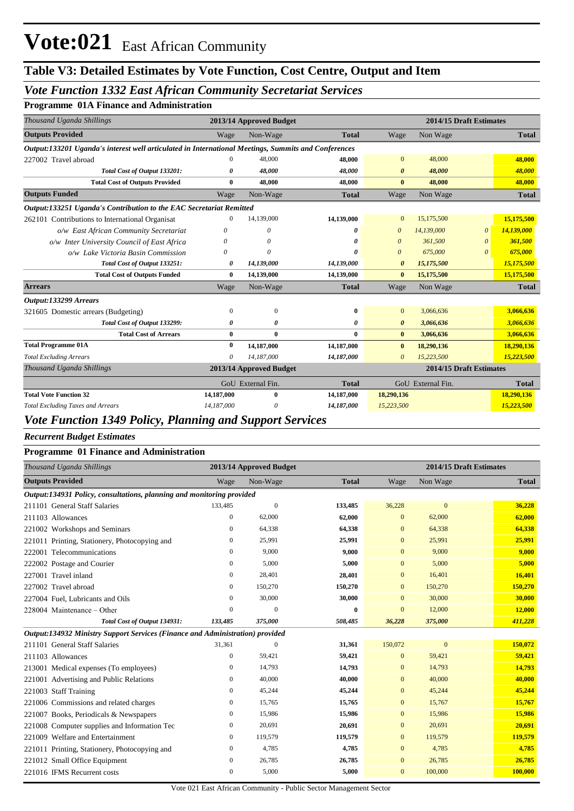## **Table V3: Detailed Estimates by Vote Function, Cost Centre, Output and Item**

### *Vote Function 1332 East African Community Secretariat Services*

#### **Programme 01A Finance and Administration**

| Thousand Uganda Shillings                                                                           |              | 2013/14 Approved Budget |              | 2014/15 Draft Estimates |                         |                       |              |
|-----------------------------------------------------------------------------------------------------|--------------|-------------------------|--------------|-------------------------|-------------------------|-----------------------|--------------|
| <b>Outputs Provided</b>                                                                             | Wage         | Non-Wage                | <b>Total</b> | Wage                    | Non Wage                |                       | <b>Total</b> |
| Output:133201 Uganda's interest well articulated in International Meetings, Summits and Conferences |              |                         |              |                         |                         |                       |              |
| 227002 Travel abroad                                                                                | $\mathbf{0}$ | 48,000                  | 48,000       | $\mathbf{0}$            | 48,000                  |                       | 48,000       |
| Total Cost of Output 133201:                                                                        | 0            | 48,000                  | 48,000       | $\boldsymbol{\theta}$   | 48.000                  |                       | 48,000       |
| <b>Total Cost of Outputs Provided</b>                                                               | 0            | 48,000                  | 48,000       | $\mathbf{0}$            | 48,000                  |                       | 48,000       |
| <b>Outputs Funded</b>                                                                               | Wage         | Non-Wage                | <b>Total</b> | Wage                    | Non Wage                |                       | <b>Total</b> |
| Output:133251 Uganda's Contribution to the EAC Secretariat Remitted                                 |              |                         |              |                         |                         |                       |              |
| 262101 Contributions to International Organisat                                                     | $\Omega$     | 14,139,000              | 14,139,000   | $\mathbf{0}$            | 15,175,500              |                       | 15,175,500   |
| o/w East African Community Secretariat                                                              | 0            | 0                       | ŋ            | $\boldsymbol{\theta}$   | 14,139,000              | $\boldsymbol{\theta}$ | 14,139,000   |
| o/w Inter University Council of East Africa                                                         | 0            | 0                       | 0            | $\boldsymbol{\theta}$   | 361,500                 | 0                     | 361,500      |
| o/w Lake Victoria Basin Commission                                                                  | O            | $\theta$                | ŋ            | $\boldsymbol{\theta}$   | 675,000                 | 0                     | 675,000      |
| Total Cost of Output 133251:                                                                        | 0            | 14,139,000              | 14,139,000   | $\boldsymbol{\theta}$   | 15,175,500              |                       | 15,175,500   |
| <b>Total Cost of Outputs Funded</b>                                                                 | 0            | 14,139,000              | 14,139,000   | $\bf{0}$                | 15,175,500              |                       | 15,175,500   |
| <b>Arrears</b>                                                                                      | Wage         | Non-Wage                | <b>Total</b> | Wage                    | Non Wage                |                       | <b>Total</b> |
| Output:133299 Arrears                                                                               |              |                         |              |                         |                         |                       |              |
| 321605 Domestic arrears (Budgeting)                                                                 | 0            | $\overline{0}$          | 0            | $\mathbf{0}$            | 3,066,636               |                       | 3,066,636    |
| Total Cost of Output 133299:                                                                        | 0            | 0                       | 0            | $\boldsymbol{\theta}$   | 3,066,636               |                       | 3,066,636    |
| <b>Total Cost of Arrears</b>                                                                        | $\bf{0}$     | $\bf{0}$                | 0            | $\bf{0}$                | 3,066,636               |                       | 3,066,636    |
| <b>Total Programme 01A</b>                                                                          | $\bf{0}$     | 14,187,000              | 14,187,000   | $\bf{0}$                | 18,290,136              |                       | 18,290,136   |
| <b>Total Excluding Arrears</b>                                                                      | 0            | 14,187,000              | 14,187,000   | $\theta$                | 15,223,500              |                       | 15,223,500   |
| Thousand Uganda Shillings                                                                           |              | 2013/14 Approved Budget |              |                         | 2014/15 Draft Estimates |                       |              |
|                                                                                                     |              | GoU External Fin.       | <b>Total</b> |                         | GoU External Fin.       |                       | <b>Total</b> |
| <b>Total Vote Function 32</b>                                                                       | 14,187,000   | $\mathbf{0}$            | 14,187,000   | 18,290,136              |                         |                       | 18,290,136   |
| <b>Total Excluding Taxes and Arrears</b>                                                            | 14,187,000   | 0                       | 14,187,000   | 15,223,500              |                         |                       | 15,223,500   |

#### *Vote Function 1349 Policy, Planning and Support Services*

*Recurrent Budget Estimates*

#### **Programme 01 Finance and Administration**

| Thousand Uganda Shillings                                                     | 2013/14 Approved Budget |                |              | 2014/15 Draft Estimates |              |              |
|-------------------------------------------------------------------------------|-------------------------|----------------|--------------|-------------------------|--------------|--------------|
| <b>Outputs Provided</b>                                                       | Wage                    | Non-Wage       | <b>Total</b> | Wage                    | Non Wage     | <b>Total</b> |
| Output:134931 Policy, consultations, planning and monitoring provided         |                         |                |              |                         |              |              |
| 211101 General Staff Salaries                                                 | 133,485                 | $\overline{0}$ | 133,485      | 36,228                  | $\mathbf{0}$ | 36,228       |
| 211103 Allowances                                                             | $\overline{0}$          | 62,000         | 62,000       | $\mathbf{0}$            | 62,000       | 62,000       |
| 221002 Workshops and Seminars                                                 | $\mathbf{0}$            | 64,338         | 64,338       | $\mathbf{0}$            | 64,338       | 64,338       |
| 221011 Printing, Stationery, Photocopying and                                 | 0                       | 25,991         | 25,991       | $\mathbf{0}$            | 25,991       | 25,991       |
| 222001 Telecommunications                                                     | $\overline{0}$          | 9,000          | 9,000        | $\mathbf{0}$            | 9,000        | 9,000        |
| 222002 Postage and Courier                                                    | $\overline{0}$          | 5,000          | 5,000        | $\mathbf{0}$            | 5,000        | 5,000        |
| 227001 Travel inland                                                          | $\overline{0}$          | 28,401         | 28,401       | $\mathbf{0}$            | 16,401       | 16,401       |
| 227002 Travel abroad                                                          | $\mathbf{0}$            | 150,270        | 150,270      | $\mathbf{0}$            | 150,270      | 150,270      |
| 227004 Fuel, Lubricants and Oils                                              | $\mathbf{0}$            | 30,000         | 30,000       | $\mathbf{0}$            | 30,000       | 30,000       |
| 228004 Maintenance – Other                                                    | $\overline{0}$          | $\theta$       | $\bf{0}$     | $\mathbf{0}$            | 12,000       | 12,000       |
| Total Cost of Output 134931:                                                  | 133,485                 | 375,000        | 508,485      | 36,228                  | 375,000      | 411,228      |
| Output:134932 Ministry Support Services (Finance and Administration) provided |                         |                |              |                         |              |              |
| 211101 General Staff Salaries                                                 | 31,361                  | $\overline{0}$ | 31,361       | 150,072                 | $\mathbf{0}$ | 150,072      |
| 211103 Allowances                                                             | $\overline{0}$          | 59,421         | 59,421       | $\mathbf{0}$            | 59,421       | 59,421       |
| 213001 Medical expenses (To employees)                                        | $\mathbf{0}$            | 14.793         | 14,793       | $\mathbf{0}$            | 14.793       | 14,793       |
| 221001 Advertising and Public Relations                                       | 0                       | 40,000         | 40,000       | $\mathbf{0}$            | 40,000       | 40,000       |
| 221003 Staff Training                                                         | $\overline{0}$          | 45,244         | 45,244       | $\mathbf{0}$            | 45,244       | 45,244       |
| 221006 Commissions and related charges                                        | 0                       | 15,765         | 15,765       | $\mathbf{0}$            | 15,767       | 15,767       |
| 221007 Books, Periodicals & Newspapers                                        | $\mathbf{0}$            | 15,986         | 15,986       | $\mathbf{0}$            | 15,986       | 15,986       |
| 221008 Computer supplies and Information Tec                                  | 0                       | 20,691         | 20,691       | $\mathbf{0}$            | 20,691       | 20,691       |
| 221009 Welfare and Entertainment                                              | $\mathbf{0}$            | 119,579        | 119,579      | $\mathbf{0}$            | 119,579      | 119,579      |
| 221011 Printing, Stationery, Photocopying and                                 | $\mathbf{0}$            | 4,785          | 4,785        | $\mathbf{0}$            | 4,785        | 4,785        |
| 221012 Small Office Equipment                                                 | $\boldsymbol{0}$        | 26,785         | 26,785       | $\mathbf{0}$            | 26,785       | 26,785       |
| 221016 IFMS Recurrent costs                                                   | $\mathbf{0}$            | 5,000          | 5,000        | $\mathbf{0}$            | 100,000      | 100,000      |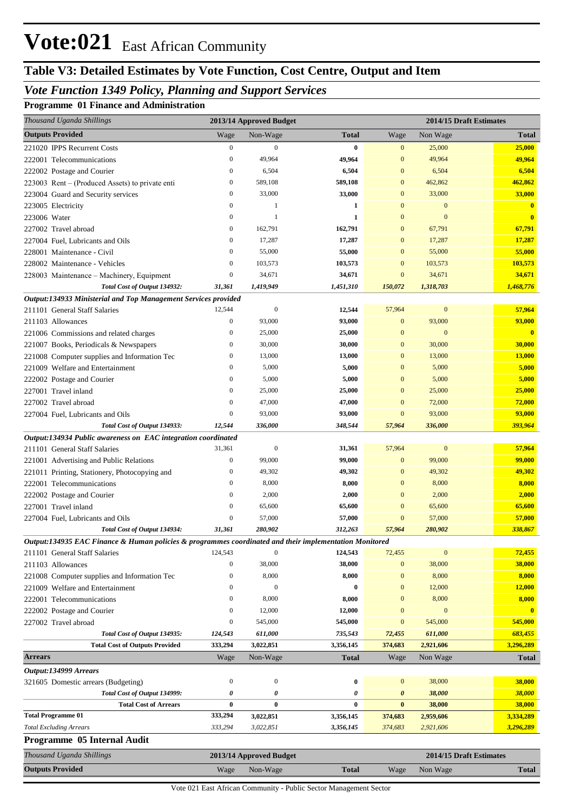## **Table V3: Detailed Estimates by Vote Function, Cost Centre, Output and Item**

### *Vote Function 1349 Policy, Planning and Support Services*

#### **Programme 01 Finance and Administration**

| Thousand Uganda Shillings                                                                              |                  | 2013/14 Approved Budget |                  |                  | 2014/15 Draft Estimates |              |
|--------------------------------------------------------------------------------------------------------|------------------|-------------------------|------------------|------------------|-------------------------|--------------|
| <b>Outputs Provided</b>                                                                                | Wage             | Non-Wage                | <b>Total</b>     | Wage             | Non Wage                | <b>Total</b> |
| 221020 IPPS Recurrent Costs                                                                            | $\boldsymbol{0}$ | $\mathbf{0}$            | $\bf{0}$         | $\mathbf{0}$     | 25,000                  | 25,000       |
| 222001 Telecommunications                                                                              | $\mathbf{0}$     | 49,964                  | 49,964           | $\mathbf{0}$     | 49,964                  | 49,964       |
| 222002 Postage and Courier                                                                             | $\mathbf{0}$     | 6,504                   | 6,504            | $\mathbf{0}$     | 6,504                   | 6,504        |
| 223003 Rent – (Produced Assets) to private enti                                                        | $\boldsymbol{0}$ | 589,108                 | 589,108          | $\mathbf{0}$     | 462,862                 | 462,862      |
| 223004 Guard and Security services                                                                     | $\boldsymbol{0}$ | 33,000                  | 33,000           | $\mathbf{0}$     | 33,000                  | 33,000       |
| 223005 Electricity                                                                                     | $\mathbf{0}$     | 1                       | 1                | $\mathbf{0}$     | $\mathbf{0}$            | $\mathbf{0}$ |
| 223006 Water                                                                                           | $\mathbf{0}$     | $\mathbf{1}$            | 1                | $\overline{0}$   | $\mathbf{0}$            | $\mathbf{0}$ |
| 227002 Travel abroad                                                                                   | $\boldsymbol{0}$ | 162,791                 | 162,791          | $\mathbf{0}$     | 67,791                  | 67,791       |
| 227004 Fuel, Lubricants and Oils                                                                       | $\boldsymbol{0}$ | 17,287                  | 17,287           | $\mathbf{0}$     | 17,287                  | 17,287       |
| 228001 Maintenance - Civil                                                                             | $\mathbf{0}$     | 55,000                  | 55,000           | $\mathbf{0}$     | 55,000                  | 55,000       |
| 228002 Maintenance - Vehicles                                                                          | $\boldsymbol{0}$ | 103,573                 | 103,573          | $\mathbf{0}$     | 103,573                 | 103,573      |
| 228003 Maintenance - Machinery, Equipment                                                              | $\boldsymbol{0}$ | 34,671                  | 34,671           | $\mathbf{0}$     | 34,671                  | 34,671       |
| Total Cost of Output 134932:                                                                           | 31,361           | 1,419,949               | 1,451,310        | 150,072          | 1,318,703               | 1,468,776    |
| Output:134933 Ministerial and Top Management Services provided                                         |                  |                         |                  |                  |                         |              |
| 211101 General Staff Salaries                                                                          | 12,544           | $\mathbf{0}$            | 12,544           | 57,964           | $\mathbf{0}$            | 57,964       |
| 211103 Allowances                                                                                      | $\boldsymbol{0}$ | 93,000                  | 93,000           | $\mathbf{0}$     | 93,000                  | 93,000       |
| 221006 Commissions and related charges                                                                 | $\boldsymbol{0}$ | 25,000                  | 25,000           | $\mathbf{0}$     | $\mathbf{0}$            | $\mathbf{0}$ |
| 221007 Books, Periodicals & Newspapers                                                                 | $\boldsymbol{0}$ | 30,000                  | 30,000           | $\mathbf{0}$     | 30,000                  | 30,000       |
| 221008 Computer supplies and Information Tec                                                           | $\mathbf{0}$     | 13,000                  | 13,000           | $\mathbf{0}$     | 13,000                  | 13,000       |
| 221009 Welfare and Entertainment                                                                       | $\mathbf{0}$     | 5,000                   | 5,000            | $\mathbf{0}$     | 5,000                   | 5,000        |
| 222002 Postage and Courier                                                                             | $\mathbf{0}$     | 5,000                   | 5,000            | $\mathbf{0}$     | 5,000                   | 5,000        |
| 227001 Travel inland                                                                                   | $\boldsymbol{0}$ | 25,000                  | 25,000           | $\mathbf{0}$     | 25,000                  | 25,000       |
| 227002 Travel abroad                                                                                   | $\mathbf{0}$     | 47,000                  | 47,000           | $\mathbf{0}$     | 72,000                  | 72,000       |
| 227004 Fuel, Lubricants and Oils                                                                       | $\boldsymbol{0}$ | 93,000                  | 93,000           | $\mathbf{0}$     | 93,000                  | 93,000       |
| Total Cost of Output 134933:                                                                           | 12,544           | 336,000                 | 348,544          | 57,964           | 336,000                 | 393,964      |
| Output:134934 Public awareness on EAC integration coordinated                                          |                  |                         |                  |                  |                         |              |
| 211101 General Staff Salaries                                                                          | 31,361           | $\mathbf{0}$            | 31,361           | 57,964           | $\bf{0}$                | 57,964       |
| 221001 Advertising and Public Relations                                                                | $\boldsymbol{0}$ | 99,000                  | 99,000           | $\mathbf{0}$     | 99,000                  | 99,000       |
| 221011 Printing, Stationery, Photocopying and                                                          | $\boldsymbol{0}$ | 49,302                  | 49,302           | $\mathbf{0}$     | 49,302                  | 49,302       |
| 222001 Telecommunications                                                                              | $\mathbf{0}$     | 8,000                   | 8,000            | $\mathbf{0}$     | 8,000                   | 8,000        |
| 222002 Postage and Courier                                                                             | $\mathbf{0}$     | 2,000                   | 2,000            | $\mathbf{0}$     | 2,000                   | 2,000        |
| 227001 Travel inland                                                                                   | $\mathbf{0}$     | 65,600                  | 65,600           | $\mathbf{0}$     | 65,600                  | 65,600       |
| 227004 Fuel, Lubricants and Oils                                                                       | $\boldsymbol{0}$ | 57,000                  | 57,000           | $\mathbf{0}$     | 57,000                  | 57,000       |
| Total Cost of Output 134934:                                                                           | 31,361           | 280,902                 | 312,263          | 57,964           | 280,902                 | 338,867      |
| Output:134935 EAC Finance & Human policies & programmes coordinated and their implementation Monitored |                  |                         |                  |                  |                         |              |
| 211101 General Staff Salaries                                                                          | 124,543          | $\boldsymbol{0}$        | 124,543          | 72,455           | $\boldsymbol{0}$        | 72,455       |
| 211103 Allowances                                                                                      | $\boldsymbol{0}$ | 38,000                  | 38,000           | $\mathbf{0}$     | 38,000                  | 38,000       |
| 221008 Computer supplies and Information Tec                                                           | $\boldsymbol{0}$ | 8,000                   | 8,000            | $\boldsymbol{0}$ | 8,000                   | 8,000        |
| 221009 Welfare and Entertainment                                                                       | $\boldsymbol{0}$ | $\boldsymbol{0}$        | $\bf{0}$         | $\mathbf{0}$     | 12,000                  | 12,000       |
| 222001 Telecommunications                                                                              | $\boldsymbol{0}$ | 8,000                   | 8,000            | $\boldsymbol{0}$ | 8,000                   | 8,000        |
| 222002 Postage and Courier                                                                             | $\boldsymbol{0}$ | 12,000                  | 12,000           | $\mathbf{0}$     | $\boldsymbol{0}$        | $\mathbf{0}$ |
| 227002 Travel abroad                                                                                   | $\boldsymbol{0}$ | 545,000                 | 545,000          | $\mathbf{0}$     | 545,000                 | 545,000      |
| Total Cost of Output 134935:                                                                           | 124,543          | 611,000                 | 735,543          | 72,455           | 611,000                 | 683,455      |
| <b>Total Cost of Outputs Provided</b>                                                                  | 333,294          | 3,022,851               | 3,356,145        | 374,683          | 2,921,606               | 3,296,289    |
| <b>Arrears</b>                                                                                         | Wage             | Non-Wage                | <b>Total</b>     | Wage             | Non Wage                | <b>Total</b> |
| Output:134999 Arrears                                                                                  |                  |                         |                  |                  |                         |              |
| 321605 Domestic arrears (Budgeting)                                                                    | $\boldsymbol{0}$ | $\boldsymbol{0}$        | $\boldsymbol{0}$ | $\mathbf{0}$     | 38,000                  | 38,000       |
| Total Cost of Output 134999:                                                                           | 0                | 0                       | 0                | 0                | 38,000                  | 38,000       |
| <b>Total Cost of Arrears</b>                                                                           | $\bf{0}$         | $\bf{0}$                | $\bf{0}$         | $\bf{0}$         | 38,000                  | 38,000       |
| <b>Total Programme 01</b>                                                                              | 333,294          | 3,022,851               | 3,356,145        | 374,683          | 2,959,606               | 3,334,289    |
| <b>Total Excluding Arrears</b>                                                                         | 333,294          | 3,022,851               | 3,356,145        | 374,683          | 2,921,606               | 3,296,289    |
| Programme 05 Internal Audit                                                                            |                  |                         |                  |                  |                         |              |
| Thousand Uganda Shillings                                                                              |                  | 2013/14 Approved Budget |                  |                  | 2014/15 Draft Estimates |              |
| <b>Outputs Provided</b>                                                                                | Wage             | Non-Wage                | <b>Total</b>     | Wage             | Non Wage                | <b>Total</b> |